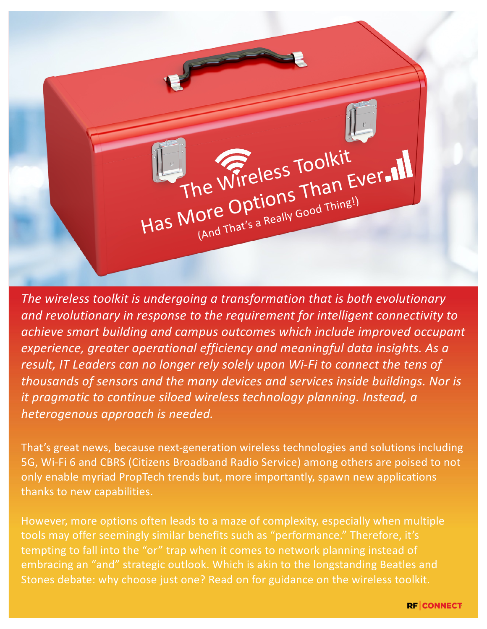

*The wireless toolkit is undergoing a transformation that is both evolutionary and revolutionary in response to the requirement for intelligent connectivity to achieve smart building and campus outcomes which include improved occupant experience, greater operational efficiency and meaningful data insights. As a*  result, IT Leaders can no longer rely solely upon Wi-Fi to connect the tens of *thousands of sensors and the many devices and services inside buildings. Nor is it pragmatic to continue siloed wireless technology planning. Instead, a heterogenous approach is needed.*

That's great news, because next-generation wireless technologies and solutions including 5G, Wi-Fi 6 and CBRS (Citizens Broadband Radio Service) among others are poised to not only enable myriad PropTech trends but, more importantly, spawn new applications thanks to new capabilities.

However, more options often leads to a maze of complexity, especially when multiple tools may offer seemingly similar benefits such as "performance." Therefore, it's tempting to fall into the "or" trap when it comes to network planning instead of embracing an "and" strategic outlook. Which is akin to the longstanding Beatles and Stones debate: why choose just one? Read on for guidance on the wireless toolkit.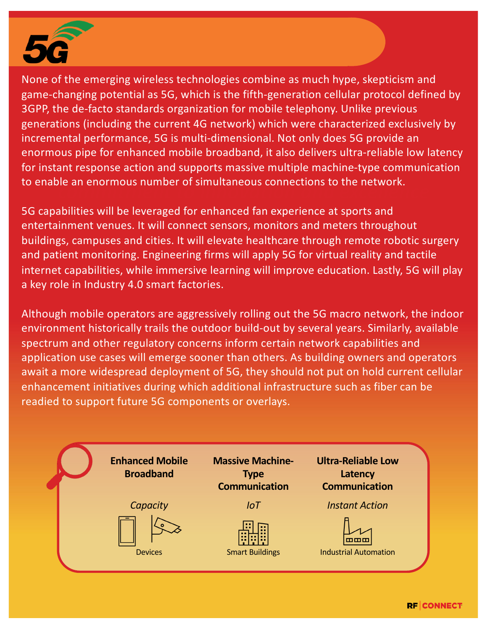

*incremental performance, 5G is multi-dimensional. Not only does 5G provide an*<br>creative religions for exhanced mabile broadband, it also delivers ultra religible low *pursued being best-in-class through a*  for instant response action and supports massive multiple machine-type communication to enable an enormous number of simultaneous connections to the network.<br>
<sub>contr</sub>ections None of the emerging wireless technologies combine as much hype, skepticism and game-changing potential as 5G, which is the fifth-generation cellular protocol defined by 3GPP, the de-facto standards organization for mobile telephony. Unlike previous generations (including the current 4G network) which were characterized exclusively by enormous pipe for enhanced mobile broadband, it also delivers ultra-reliable low latency

5G capabilities will be leveraged for enhanced fan experience at sports and entertainment venues. It will connect sensors, monitors and meters throughout buildings, campuses and cities. It will elevate healthcare through remote robotic surgery and patient monitoring. Engineering firms will apply 5G for virtual reality and tactile internet capabilities, while immersive learning will improve education. Lastly, 5G will play a key role in Industry 4.0 smart factories.

Although mobile operators are aggressively rolling out the 5G macro network, the indoor environment historically trails the outdoor build-out by several years. Similarly, available spectrum and other regulatory concerns inform certain network capabilities and application use cases will emerge sooner than others. As building owners and operators await a more widespread deployment of 5G, they should not put on hold current cellular enhancement initiatives during which additional infrastructure such as fiber can be readied to support future 5G components or overlays.

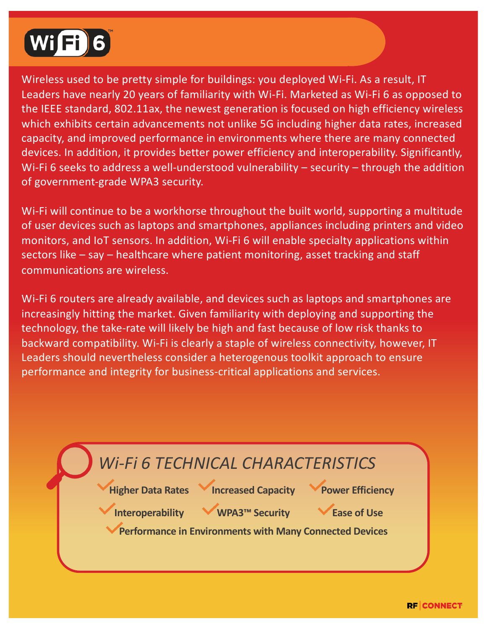

*Formality*, and improved performance in environments where there are many connected<br>deviase the addition, it provides better newer efficiency and interesearchility. Significantly *pursued being best-in-class through a*  Wi-Fi 6 seeks to address a well-understood vulnerability – security – through the addition **comment-grade w***r***as security.**<br>Thine in the commitment of the commitment of the commitment of the commitment of the commitment of the commitment Wireless used to be pretty simple for buildings: you deployed Wi-Fi. As a result, IT Leaders have nearly 20 years of familiarity with Wi-Fi. Marketed as Wi-Fi 6 as opposed to the IEEE standard, 802.11ax, the newest generation is focused on high efficiency wireless which exhibits certain advancements not unlike 5G including higher data rates, increased devices. In addition, it provides better power efficiency and interoperability. Significantly, of government-grade WPA3 security.

Wi-Fi will continue to be a workhorse throughout the built world, supporting a multitude of user devices such as laptops and smartphones, appliances including printers and video monitors, and IoT sensors. In addition, Wi-Fi 6 will enable specialty applications within sectors like – say – healthcare where patient monitoring, asset tracking and staff communications are wireless.

Wi-Fi 6 routers are already available, and devices such as laptops and smartphones are increasingly hitting the market. Given familiarity with deploying and supporting the technology, the take-rate will likely be high and fast because of low risk thanks to backward compatibility. Wi-Fi is clearly a staple of wireless connectivity, however, IT Leaders should nevertheless consider a heterogenous toolkit approach to ensure performance and integrity for business-critical applications and services.

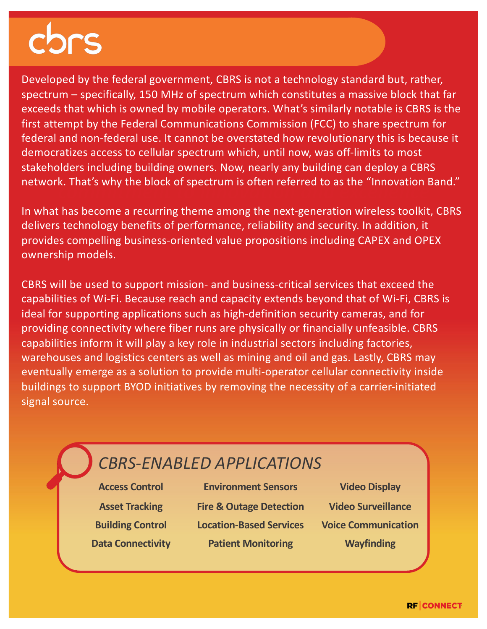*federal and non-federal use. It cannot be overstated how revolutionary this is because it pursued being best-in-class through a*  stakeholders including building owners. Now, nearly any building can deploy a CBRS network. That's why the block of spectrum is often referred to as the "Innovation Band."<br>-Developed by the federal government, CBRS is not a technology standard but, rather, spectrum – specifically, 150 MHz of spectrum which constitutes a massive block that far exceeds that which is owned by mobile operators. What's similarly notable is CBRS is the first attempt by the Federal Communications Commission (FCC) to share spectrum for democratizes access to cellular spectrum which, until now, was off-limits to most

In what has become a recurring theme among the next-generation wireless toolkit, CBRS delivers technology benefits of performance, reliability and security. In addition, it provides compelling business-oriented value propositions including CAPEX and OPEX ownership models.

CBRS will be used to support mission- and business-critical services that exceed the capabilities of Wi-Fi. Because reach and capacity extends beyond that of Wi-Fi, CBRS is ideal for supporting applications such as high-definition security cameras, and for providing connectivity where fiber runs are physically or financially unfeasible. CBRS capabilities inform it will play a key role in industrial sectors including factories, warehouses and logistics centers as well as mining and oil and gas. Lastly, CBRS may eventually emerge as a solution to provide multi-operator cellular connectivity inside buildings to support BYOD initiatives by removing the necessity of a carrier-initiated signal source.

## *CBRS-ENABLED APPLICATIONS*

**Access Control Environment Sensors Video Display Asset Tracking Fire & Outage Detection Video Surveillance Building Control Location-Based Services Voice Communication Data Connectivity <b>Patient Monitoring Wayfinding**